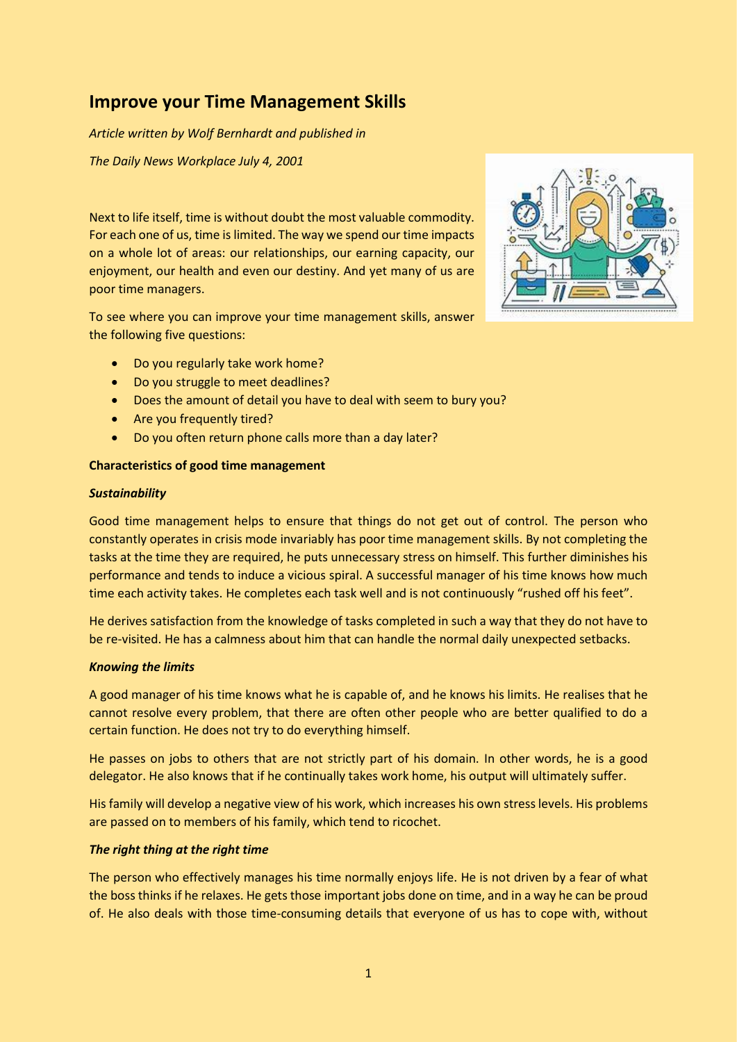# **Improve your Time Management Skills**

*Article written by Wolf Bernhardt and published in*

*The Daily News Workplace July 4, 2001*

Next to life itself, time is without doubt the most valuable commodity. For each one of us, time is limited. The way we spend our time impacts on a whole lot of areas: our relationships, our earning capacity, our enjoyment, our health and even our destiny. And yet many of us are poor time managers.

To see where you can improve your time management skills, answer the following five questions:

- Do you regularly take work home?
- Do you struggle to meet deadlines?
- Does the amount of detail you have to deal with seem to bury you?
- Are you frequently tired?
- Do you often return phone calls more than a day later?

### **Characteristics of good time management**

#### *Sustainability*

Good time management helps to ensure that things do not get out of control. The person who constantly operates in crisis mode invariably has poor time management skills. By not completing the tasks at the time they are required, he puts unnecessary stress on himself. This further diminishes his performance and tends to induce a vicious spiral. A successful manager of his time knows how much time each activity takes. He completes each task well and is not continuously "rushed off his feet".

He derives satisfaction from the knowledge of tasks completed in such a way that they do not have to be re-visited. He has a calmness about him that can handle the normal daily unexpected setbacks.

### *Knowing the limits*

A good manager of his time knows what he is capable of, and he knows his limits. He realises that he cannot resolve every problem, that there are often other people who are better qualified to do a certain function. He does not try to do everything himself.

He passes on jobs to others that are not strictly part of his domain. In other words, he is a good delegator. He also knows that if he continually takes work home, his output will ultimately suffer.

His family will develop a negative view of his work, which increases his own stress levels. His problems are passed on to members of his family, which tend to ricochet.

### *The right thing at the right time*

The person who effectively manages his time normally enjoys life. He is not driven by a fear of what the boss thinks if he relaxes. He gets those important jobs done on time, and in a way he can be proud of. He also deals with those time-consuming details that everyone of us has to cope with, without